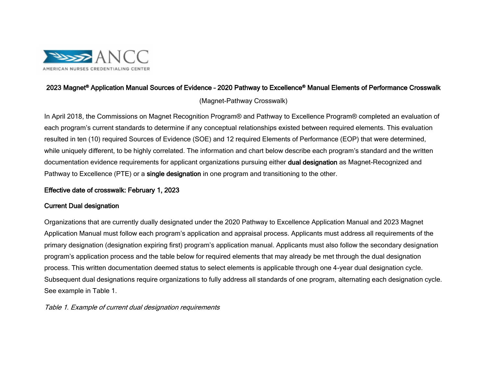

# 2023 Magnet® Application Manual Sources of Evidence – 2020 Pathway to Excellence® Manual Elements of Performance Crosswalk

## (Magnet-Pathway Crosswalk)

In April 2018, the Commissions on Magnet Recognition Program® and Pathway to Excellence Program® completed an evaluation of each program's current standards to determine if any conceptual relationships existed between required elements. This evaluation resulted in ten (10) required Sources of Evidence (SOE) and 12 required Elements of Performance (EOP) that were determined, while uniquely different, to be highly correlated. The information and chart below describe each program's standard and the written documentation evidence requirements for applicant organizations pursuing either dual designation as Magnet-Recognized and Pathway to Excellence (PTE) or a single designation in one program and transitioning to the other.

### Effective date of crosswalk: February 1, 2023

### Current Dual designation

Organizations that are currently dually designated under the 2020 Pathway to Excellence Application Manual and 2023 Magnet Application Manual must follow each program's application and appraisal process. Applicants must address all requirements of the primary designation (designation expiring first) program's application manual. Applicants must also follow the secondary designation program's application process and the table below for required elements that may already be met through the dual designation process. This written documentation deemed status to select elements is applicable through one 4-year dual designation cycle. Subsequent dual designations require organizations to fully address all standards of one program, alternating each designation cycle. See example in Table 1.

Table 1. Example of current dual designation requirements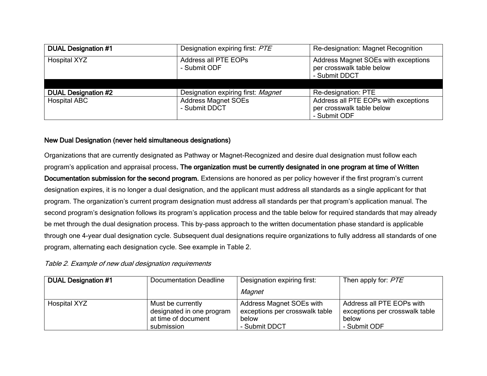| <b>DUAL Designation #1</b> | Designation expiring first: PTE             | Re-designation: Magnet Recognition                                                |
|----------------------------|---------------------------------------------|-----------------------------------------------------------------------------------|
| <b>Hospital XYZ</b>        | Address all PTE EOPs<br>- Submit ODF        | Address Magnet SOEs with exceptions<br>per crosswalk table below<br>- Submit DDCT |
|                            |                                             |                                                                                   |
| <b>DUAL Designation #2</b> | Designation expiring first: Magnet          | Re-designation: PTE                                                               |
| <b>Hospital ABC</b>        | <b>Address Magnet SOEs</b><br>- Submit DDCT | Address all PTE EOPs with exceptions<br>per crosswalk table below<br>- Submit ODF |

### New Dual Designation (never held simultaneous designations)

Organizations that are currently designated as Pathway or Magnet-Recognized and desire dual designation must follow each program's application and appraisal process. The organization must be currently designated in one program at time of Written Documentation submission for the second program. Extensions are honored as per policy however if the first program's current designation expires, it is no longer a dual designation, and the applicant must address all standards as a single applicant for that program. The organization's current program designation must address all standards per that program's application manual. The second program's designation follows its program's application process and the table below for required standards that may already be met through the dual designation process. This by-pass approach to the written documentation phase standard is applicable through one 4-year dual designation cycle. Subsequent dual designations require organizations to fully address all standards of one program, alternating each designation cycle. See example in Table 2.

#### Table 2. Example of new dual designation requirements

| <b>DUAL Designation #1</b> | Documentation Deadline                                                              | Designation expiring first:                                                          | Then apply for: PTE                                                                  |
|----------------------------|-------------------------------------------------------------------------------------|--------------------------------------------------------------------------------------|--------------------------------------------------------------------------------------|
|                            |                                                                                     | Magnet                                                                               |                                                                                      |
| Hospital XYZ               | Must be currently<br>designated in one program<br>at time of document<br>submission | Address Magnet SOEs with<br>exceptions per crosswalk table<br>below<br>- Submit DDCT | Address all PTE EOPs with<br>exceptions per crosswalk table<br>below<br>- Submit ODF |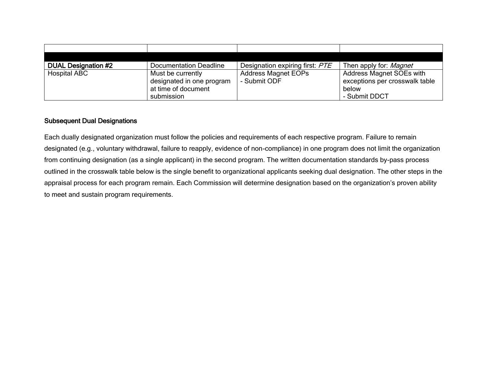| <b>DUAL Designation #2</b> | Documentation Deadline                                                              | Designation expiring first: PTE            | Then apply for: <i>Magnet</i>                                                        |
|----------------------------|-------------------------------------------------------------------------------------|--------------------------------------------|--------------------------------------------------------------------------------------|
| <b>Hospital ABC</b>        | Must be currently<br>designated in one program<br>at time of document<br>submission | <b>Address Magnet EOPs</b><br>- Submit ODF | Address Magnet SOEs with<br>exceptions per crosswalk table<br>below<br>- Submit DDCT |

#### Subsequent Dual Designations

Each dually designated organization must follow the policies and requirements of each respective program. Failure to remain designated (e.g., voluntary withdrawal, failure to reapply, evidence of non-compliance) in one program does not limit the organization from continuing designation (as a single applicant) in the second program. The written documentation standards by-pass process outlined in the crosswalk table below is the single benefit to organizational applicants seeking dual designation. The other steps in the appraisal process for each program remain. Each Commission will determine designation based on the organization's proven ability to meet and sustain program requirements.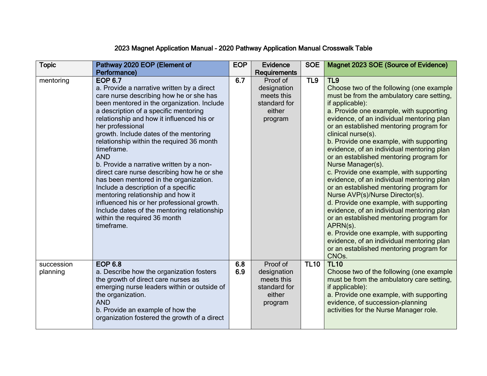# 2023 Magnet Application Manual – 2020 Pathway Application Manual Crosswalk Table

| <b>Topic</b>           | Pathway 2020 EOP (Element of                                                                                                                                                                                                                                                                                                                                                                                                                                                                                                                                                                                                                                                                                                                  | <b>EOP</b> | Evidence                                                                   | <b>SOE</b>      | Magnet 2023 SOE (Source of Evidence)                                                                                                                                                                                                                                                                                                                                                                                                                                                                                                                                                                                                                                                                                                                                                                                                                                                                                       |
|------------------------|-----------------------------------------------------------------------------------------------------------------------------------------------------------------------------------------------------------------------------------------------------------------------------------------------------------------------------------------------------------------------------------------------------------------------------------------------------------------------------------------------------------------------------------------------------------------------------------------------------------------------------------------------------------------------------------------------------------------------------------------------|------------|----------------------------------------------------------------------------|-----------------|----------------------------------------------------------------------------------------------------------------------------------------------------------------------------------------------------------------------------------------------------------------------------------------------------------------------------------------------------------------------------------------------------------------------------------------------------------------------------------------------------------------------------------------------------------------------------------------------------------------------------------------------------------------------------------------------------------------------------------------------------------------------------------------------------------------------------------------------------------------------------------------------------------------------------|
|                        | Performance)                                                                                                                                                                                                                                                                                                                                                                                                                                                                                                                                                                                                                                                                                                                                  |            | <b>Requirements</b>                                                        |                 |                                                                                                                                                                                                                                                                                                                                                                                                                                                                                                                                                                                                                                                                                                                                                                                                                                                                                                                            |
| mentoring              | <b>EOP 6.7</b><br>a. Provide a narrative written by a direct<br>care nurse describing how he or she has<br>been mentored in the organization. Include<br>a description of a specific mentoring<br>relationship and how it influenced his or<br>her professional<br>growth. Include dates of the mentoring<br>relationship within the required 36 month<br>timeframe.<br><b>AND</b><br>b. Provide a narrative written by a non-<br>direct care nurse describing how he or she<br>has been mentored in the organization.<br>Include a description of a specific<br>mentoring relationship and how it<br>influenced his or her professional growth.<br>Include dates of the mentoring relationship<br>within the required 36 month<br>timeframe. | 6.7        | Proof of<br>designation<br>meets this<br>standard for<br>either<br>program | TL <sub>9</sub> | TL <sub>9</sub><br>Choose two of the following (one example<br>must be from the ambulatory care setting,<br>if applicable):<br>a. Provide one example, with supporting<br>evidence, of an individual mentoring plan<br>or an established mentoring program for<br>clinical nurse(s).<br>b. Provide one example, with supporting<br>evidence, of an individual mentoring plan<br>or an established mentoring program for<br>Nurse Manager(s).<br>c. Provide one example, with supporting<br>evidence, of an individual mentoring plan<br>or an established mentoring program for<br>Nurse AVP(s)/Nurse Director(s).<br>d. Provide one example, with supporting<br>evidence, of an individual mentoring plan<br>or an established mentoring program for<br>APRN(s).<br>e. Provide one example, with supporting<br>evidence, of an individual mentoring plan<br>or an established mentoring program for<br>CNO <sub>s</sub> . |
| succession<br>planning | <b>EOP 6.8</b><br>a. Describe how the organization fosters<br>the growth of direct care nurses as<br>emerging nurse leaders within or outside of<br>the organization.<br><b>AND</b><br>b. Provide an example of how the<br>organization fostered the growth of a direct                                                                                                                                                                                                                                                                                                                                                                                                                                                                       | 6.8<br>6.9 | Proof of<br>designation<br>meets this<br>standard for<br>either<br>program | <b>TL10</b>     | <b>TL10</b><br>Choose two of the following (one example<br>must be from the ambulatory care setting,<br>if applicable):<br>a. Provide one example, with supporting<br>evidence, of succession-planning<br>activities for the Nurse Manager role.                                                                                                                                                                                                                                                                                                                                                                                                                                                                                                                                                                                                                                                                           |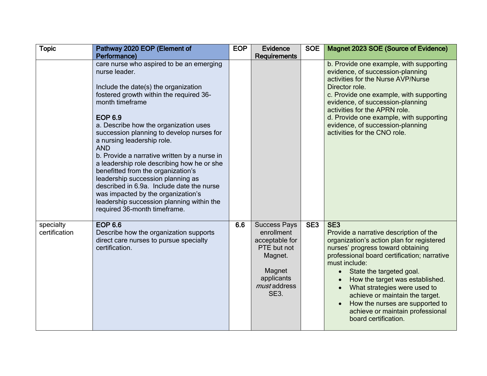| <b>Topic</b>               | Pathway 2020 EOP (Element of                                                                                                                                                                                                                                                                                                                                                                                                                                                                                                                                                                                                                                                 | <b>EOP</b> | Evidence                                                                                                                             | <b>SOE</b>      | Magnet 2023 SOE (Source of Evidence)                                                                                                                                                                                                                                                                                                                                                                                                                      |
|----------------------------|------------------------------------------------------------------------------------------------------------------------------------------------------------------------------------------------------------------------------------------------------------------------------------------------------------------------------------------------------------------------------------------------------------------------------------------------------------------------------------------------------------------------------------------------------------------------------------------------------------------------------------------------------------------------------|------------|--------------------------------------------------------------------------------------------------------------------------------------|-----------------|-----------------------------------------------------------------------------------------------------------------------------------------------------------------------------------------------------------------------------------------------------------------------------------------------------------------------------------------------------------------------------------------------------------------------------------------------------------|
|                            | Performance)<br>care nurse who aspired to be an emerging<br>nurse leader.<br>Include the date(s) the organization<br>fostered growth within the required 36-<br>month timeframe<br><b>EOP 6.9</b><br>a. Describe how the organization uses<br>succession planning to develop nurses for<br>a nursing leadership role.<br><b>AND</b><br>b. Provide a narrative written by a nurse in<br>a leadership role describing how he or she<br>benefitted from the organization's<br>leadership succession planning as<br>described in 6.9a. Include date the nurse<br>was impacted by the organization's<br>leadership succession planning within the<br>required 36-month timeframe. |            | <b>Requirements</b>                                                                                                                  |                 | b. Provide one example, with supporting<br>evidence, of succession-planning<br>activities for the Nurse AVP/Nurse<br>Director role.<br>c. Provide one example, with supporting<br>evidence, of succession-planning<br>activities for the APRN role.<br>d. Provide one example, with supporting<br>evidence, of succession-planning<br>activities for the CNO role.                                                                                        |
| specialty<br>certification | <b>EOP 6.6</b><br>Describe how the organization supports<br>direct care nurses to pursue specialty<br>certification.                                                                                                                                                                                                                                                                                                                                                                                                                                                                                                                                                         | 6.6        | <b>Success Pays</b><br>enrollment<br>acceptable for<br>PTE but not<br>Magnet.<br>Magnet<br>applicants<br>must address<br><b>SE3.</b> | SE <sub>3</sub> | SE <sub>3</sub><br>Provide a narrative description of the<br>organization's action plan for registered<br>nurses' progress toward obtaining<br>professional board certification; narrative<br>must include:<br>State the targeted goal.<br>$\bullet$<br>How the target was established.<br>What strategies were used to<br>achieve or maintain the target.<br>How the nurses are supported to<br>achieve or maintain professional<br>board certification. |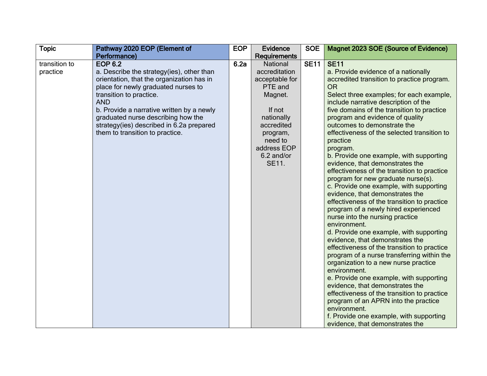| <b>Topic</b>              | Pathway 2020 EOP (Element of                                                                                                                                                                                                                                                                                                                               | <b>EOP</b> | <b>Evidence</b>                                                                                                                                                                    | <b>SOE</b>  | Magnet 2023 SOE (Source of Evidence)                                                                                                                                                                                                                                                                                                                                                                                                                                                                                                                                                                                                                                                                                                                                                                                                                                                                                                                                                                                                                                                                                                                                                                                                                                                      |
|---------------------------|------------------------------------------------------------------------------------------------------------------------------------------------------------------------------------------------------------------------------------------------------------------------------------------------------------------------------------------------------------|------------|------------------------------------------------------------------------------------------------------------------------------------------------------------------------------------|-------------|-------------------------------------------------------------------------------------------------------------------------------------------------------------------------------------------------------------------------------------------------------------------------------------------------------------------------------------------------------------------------------------------------------------------------------------------------------------------------------------------------------------------------------------------------------------------------------------------------------------------------------------------------------------------------------------------------------------------------------------------------------------------------------------------------------------------------------------------------------------------------------------------------------------------------------------------------------------------------------------------------------------------------------------------------------------------------------------------------------------------------------------------------------------------------------------------------------------------------------------------------------------------------------------------|
|                           | Performance)                                                                                                                                                                                                                                                                                                                                               |            | Requirements                                                                                                                                                                       |             |                                                                                                                                                                                                                                                                                                                                                                                                                                                                                                                                                                                                                                                                                                                                                                                                                                                                                                                                                                                                                                                                                                                                                                                                                                                                                           |
| transition to<br>practice | <b>EOP 6.2</b><br>a. Describe the strategy(ies), other than<br>orientation, that the organization has in<br>place for newly graduated nurses to<br>transition to practice.<br><b>AND</b><br>b. Provide a narrative written by a newly<br>graduated nurse describing how the<br>strategy(ies) described in 6.2a prepared<br>them to transition to practice. | 6.2a       | <b>National</b><br>accreditation<br>acceptable for<br>PTE and<br>Magnet.<br>If not<br>nationally<br>accredited<br>program,<br>need to<br>address EOP<br>6.2 and/or<br><b>SE11.</b> | <b>SE11</b> | <b>SE11</b><br>a. Provide evidence of a nationally<br>accredited transition to practice program.<br><b>OR</b><br>Select three examples; for each example,<br>include narrative description of the<br>five domains of the transition to practice<br>program and evidence of quality<br>outcomes to demonstrate the<br>effectiveness of the selected transition to<br>practice<br>program.<br>b. Provide one example, with supporting<br>evidence, that demonstrates the<br>effectiveness of the transition to practice<br>program for new graduate nurse(s).<br>c. Provide one example, with supporting<br>evidence, that demonstrates the<br>effectiveness of the transition to practice<br>program of a newly hired experienced<br>nurse into the nursing practice<br>environment.<br>d. Provide one example, with supporting<br>evidence, that demonstrates the<br>effectiveness of the transition to practice<br>program of a nurse transferring within the<br>organization to a new nurse practice<br>environment.<br>e. Provide one example, with supporting<br>evidence, that demonstrates the<br>effectiveness of the transition to practice<br>program of an APRN into the practice<br>environment.<br>f. Provide one example, with supporting<br>evidence, that demonstrates the |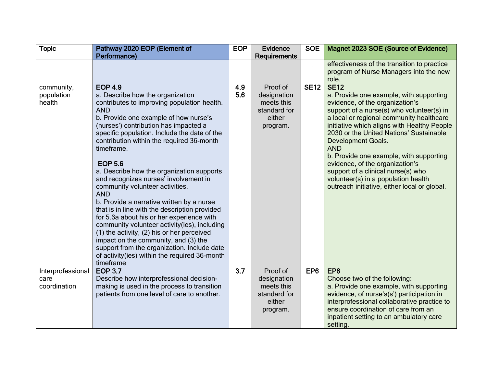| <b>Topic</b>                       | Pathway 2020 EOP (Element of                                                                                                                                                                                                                                                                                                                                                                                                                                                                                                                                                                                                                                     | <b>EOP</b> | <b>Evidence</b>                                                             | <b>SOE</b>      | Magnet 2023 SOE (Source of Evidence)                                                                                                                                                                                                                                                                                                                                                                                                                                                                                        |
|------------------------------------|------------------------------------------------------------------------------------------------------------------------------------------------------------------------------------------------------------------------------------------------------------------------------------------------------------------------------------------------------------------------------------------------------------------------------------------------------------------------------------------------------------------------------------------------------------------------------------------------------------------------------------------------------------------|------------|-----------------------------------------------------------------------------|-----------------|-----------------------------------------------------------------------------------------------------------------------------------------------------------------------------------------------------------------------------------------------------------------------------------------------------------------------------------------------------------------------------------------------------------------------------------------------------------------------------------------------------------------------------|
|                                    | Performance)                                                                                                                                                                                                                                                                                                                                                                                                                                                                                                                                                                                                                                                     |            | <b>Requirements</b>                                                         |                 |                                                                                                                                                                                                                                                                                                                                                                                                                                                                                                                             |
|                                    |                                                                                                                                                                                                                                                                                                                                                                                                                                                                                                                                                                                                                                                                  |            |                                                                             |                 | effectiveness of the transition to practice<br>program of Nurse Managers into the new                                                                                                                                                                                                                                                                                                                                                                                                                                       |
|                                    |                                                                                                                                                                                                                                                                                                                                                                                                                                                                                                                                                                                                                                                                  |            |                                                                             |                 | role.                                                                                                                                                                                                                                                                                                                                                                                                                                                                                                                       |
| community,<br>population<br>health | <b>EOP 4.9</b><br>a. Describe how the organization<br>contributes to improving population health.<br><b>AND</b><br>b. Provide one example of how nurse's<br>(nurses') contribution has impacted a<br>specific population. Include the date of the<br>contribution within the required 36-month<br>timeframe.<br><b>EOP 5.6</b><br>a. Describe how the organization supports<br>and recognizes nurses' involvement in<br>community volunteer activities.<br><b>AND</b><br>b. Provide a narrative written by a nurse<br>that is in line with the description provided<br>for 5.6a about his or her experience with<br>community volunteer activity(ies), including | 4.9<br>5.6 | Proof of<br>designation<br>meets this<br>standard for<br>either<br>program. | <b>SE12</b>     | <b>SE12</b><br>a. Provide one example, with supporting<br>evidence, of the organization's<br>support of a nurse(s) who volunteer(s) in<br>a local or regional community healthcare<br>initiative which aligns with Healthy People<br>2030 or the United Nations' Sustainable<br>Development Goals.<br><b>AND</b><br>b. Provide one example, with supporting<br>evidence, of the organization's<br>support of a clinical nurse(s) who<br>volunteer(s) in a population health<br>outreach initiative, either local or global. |
|                                    | $(1)$ the activity, $(2)$ his or her perceived<br>impact on the community, and (3) the<br>support from the organization. Include date<br>of activity(ies) within the required 36-month<br>timeframe                                                                                                                                                                                                                                                                                                                                                                                                                                                              |            |                                                                             |                 |                                                                                                                                                                                                                                                                                                                                                                                                                                                                                                                             |
| Interprofessional                  | <b>EOP 3.7</b>                                                                                                                                                                                                                                                                                                                                                                                                                                                                                                                                                                                                                                                   | 3.7        | Proof of                                                                    | EP <sub>6</sub> | EP <sub>6</sub>                                                                                                                                                                                                                                                                                                                                                                                                                                                                                                             |
| care<br>coordination               | Describe how interprofessional decision-<br>making is used in the process to transition<br>patients from one level of care to another.                                                                                                                                                                                                                                                                                                                                                                                                                                                                                                                           |            | designation<br>meets this<br>standard for<br>either<br>program.             |                 | Choose two of the following:<br>a. Provide one example, with supporting<br>evidence, of nurse's(s') participation in<br>interprofessional collaborative practice to<br>ensure coordination of care from an<br>inpatient setting to an ambulatory care<br>setting.                                                                                                                                                                                                                                                           |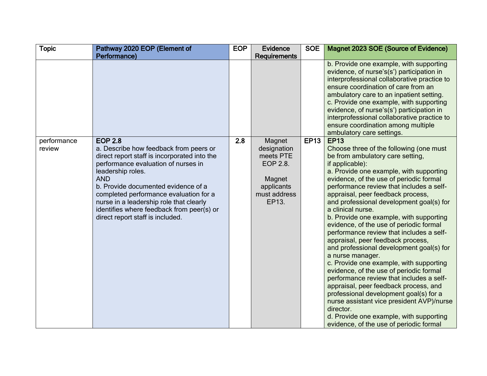| <b>Topic</b>          | Pathway 2020 EOP (Element of                                                                                                                                                                                                                                                                                                                                                                    | <b>EOP</b> | <b>Evidence</b>                                                                                 | <b>SOE</b>  | Magnet 2023 SOE (Source of Evidence)                                                                                                                                                                                                                                                                                                                                                                                                                                                                                                                                                                                                                                                                                                                                                                                                                                                                                                                              |
|-----------------------|-------------------------------------------------------------------------------------------------------------------------------------------------------------------------------------------------------------------------------------------------------------------------------------------------------------------------------------------------------------------------------------------------|------------|-------------------------------------------------------------------------------------------------|-------------|-------------------------------------------------------------------------------------------------------------------------------------------------------------------------------------------------------------------------------------------------------------------------------------------------------------------------------------------------------------------------------------------------------------------------------------------------------------------------------------------------------------------------------------------------------------------------------------------------------------------------------------------------------------------------------------------------------------------------------------------------------------------------------------------------------------------------------------------------------------------------------------------------------------------------------------------------------------------|
|                       | Performance)                                                                                                                                                                                                                                                                                                                                                                                    |            | <b>Requirements</b>                                                                             |             |                                                                                                                                                                                                                                                                                                                                                                                                                                                                                                                                                                                                                                                                                                                                                                                                                                                                                                                                                                   |
|                       |                                                                                                                                                                                                                                                                                                                                                                                                 |            |                                                                                                 |             | b. Provide one example, with supporting<br>evidence, of nurse's(s') participation in<br>interprofessional collaborative practice to<br>ensure coordination of care from an<br>ambulatory care to an inpatient setting.<br>c. Provide one example, with supporting<br>evidence, of nurse's(s') participation in<br>interprofessional collaborative practice to<br>ensure coordination among multiple<br>ambulatory care settings.                                                                                                                                                                                                                                                                                                                                                                                                                                                                                                                                  |
| performance<br>review | <b>EOP 2.8</b><br>a. Describe how feedback from peers or<br>direct report staff is incorporated into the<br>performance evaluation of nurses in<br>leadership roles.<br><b>AND</b><br>b. Provide documented evidence of a<br>completed performance evaluation for a<br>nurse in a leadership role that clearly<br>identifies where feedback from peer(s) or<br>direct report staff is included. | 2.8        | Magnet<br>designation<br>meets PTE<br>EOP 2.8.<br>Magnet<br>applicants<br>must address<br>EP13. | <b>EP13</b> | <b>EP13</b><br>Choose three of the following (one must<br>be from ambulatory care setting,<br>if applicable):<br>a. Provide one example, with supporting<br>evidence, of the use of periodic formal<br>performance review that includes a self-<br>appraisal, peer feedback process,<br>and professional development goal(s) for<br>a clinical nurse.<br>b. Provide one example, with supporting<br>evidence, of the use of periodic formal<br>performance review that includes a self-<br>appraisal, peer feedback process,<br>and professional development goal(s) for<br>a nurse manager.<br>c. Provide one example, with supporting<br>evidence, of the use of periodic formal<br>performance review that includes a self-<br>appraisal, peer feedback process, and<br>professional development goal(s) for a<br>nurse assistant vice president AVP)/nurse<br>director.<br>d. Provide one example, with supporting<br>evidence, of the use of periodic formal |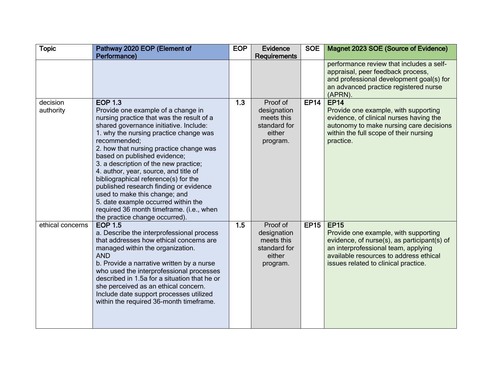| <b>Topic</b>     | Pathway 2020 EOP (Element of                                                                                                                                                                                                                                                                                                                                                                                                                                                                                                                                                             | <b>EOP</b> | <b>Evidence</b>                                                             | <b>SOE</b>  | Magnet 2023 SOE (Source of Evidence)                                                                                                                                                                                        |
|------------------|------------------------------------------------------------------------------------------------------------------------------------------------------------------------------------------------------------------------------------------------------------------------------------------------------------------------------------------------------------------------------------------------------------------------------------------------------------------------------------------------------------------------------------------------------------------------------------------|------------|-----------------------------------------------------------------------------|-------------|-----------------------------------------------------------------------------------------------------------------------------------------------------------------------------------------------------------------------------|
|                  | Performance)                                                                                                                                                                                                                                                                                                                                                                                                                                                                                                                                                                             |            | Requirements                                                                |             |                                                                                                                                                                                                                             |
|                  |                                                                                                                                                                                                                                                                                                                                                                                                                                                                                                                                                                                          |            |                                                                             |             | performance review that includes a self-<br>appraisal, peer feedback process,<br>and professional development goal(s) for<br>an advanced practice registered nurse<br>(APRN).                                               |
| decision         | <b>EOP 1.3</b>                                                                                                                                                                                                                                                                                                                                                                                                                                                                                                                                                                           | 1.3        | Proof of                                                                    | <b>EP14</b> | <b>EP14</b>                                                                                                                                                                                                                 |
| authority        | Provide one example of a change in<br>nursing practice that was the result of a<br>shared governance initiative. Include:<br>1. why the nursing practice change was<br>recommended;<br>2. how that nursing practice change was<br>based on published evidence;<br>3. a description of the new practice;<br>4. author, year, source, and title of<br>bibliographical reference(s) for the<br>published research finding or evidence<br>used to make this change; and<br>5. date example occurred within the<br>required 36 month timeframe. (i.e., when<br>the practice change occurred). |            | designation<br>meets this<br>standard for<br>either<br>program.             |             | Provide one example, with supporting<br>evidence, of clinical nurses having the<br>autonomy to make nursing care decisions<br>within the full scope of their nursing<br>practice.                                           |
| ethical concerns | <b>EOP 1.5</b><br>a. Describe the interprofessional process<br>that addresses how ethical concerns are<br>managed within the organization.<br><b>AND</b><br>b. Provide a narrative written by a nurse<br>who used the interprofessional processes<br>described in 1.5a for a situation that he or<br>she perceived as an ethical concern.<br>Include date support processes utilized<br>within the required 36-month timeframe.                                                                                                                                                          | 1.5        | Proof of<br>designation<br>meets this<br>standard for<br>either<br>program. | <b>EP15</b> | <b>EP15</b><br>Provide one example, with supporting<br>evidence, of nurse(s), as participant(s) of<br>an interprofessional team, applying<br>available resources to address ethical<br>issues related to clinical practice. |